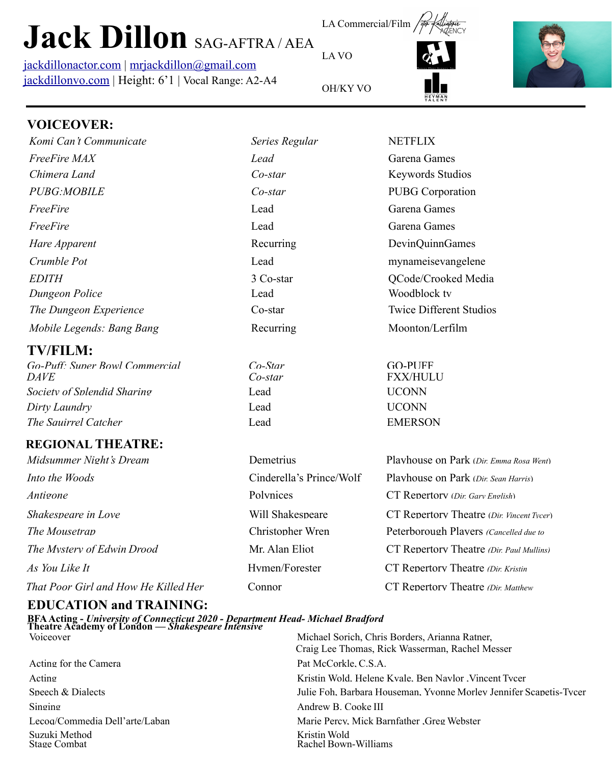# **Jack Dillon** SAG-AFTRA / AEA

[jackdillonactor.com](http://jackdillonactor.com) | [mrjackdillon@gmail.com](mailto:mrjackdillon@gmail.com) [jackdillonvo.com](http://jackdillonvo.com) | Height: 6'1 | Vocal Range: A2-A4



LA Commercial/Film

*Komi Can't Communicate Series Regular* NETFLIX





## **VOICEOVER:**

| Komi Can't Communicate    |
|---------------------------|
| <i>FreeFire MAX</i>       |
| Chimera Land              |
| <i>PUBG MOBILE</i>        |
| FreeFire                  |
| FreeFire                  |
| Hare Apparent             |
| Crumble Pot               |
| <i>EDITH</i>              |
| Dungeon Police            |
| The Dungeon Experience    |
| Mobile Legends: Bang Bang |

#### **TV/FILM:**

*Dirty Laundry* Lead UCONN *The Squirrel Catcher* **Lead EMERSON** *Society of Splendid Sharing* Lead **Lead** UCONN *DAVE Co-star* FXX/HULU *Go-Puff: Super Bowl Commercial Co-Star* GO-PUFF

### **REGIONAL THEATRE:**

### **EDUCATION and TRAINING:**

**BFA Acting -** *University of Connecticut 2020 - Department Head- Michael Bradford* **Theatre Academy of London** *— Shakespeare Intensive*

Acting for the Camera **Pat McCorkle, C.S.A.** Singing Andrew B. Cooke III Suzuki Method Kristin Wold<br>Stage Combat Rachel Bowr

Acting The Community Community Community Community Community Community Community Community Community Community Community Community Community Community Community Community Community Community Community Community Community C Speech & Dialects Speech & Dialects Julie Foh, Barbara Houseman, Yvonne Morley Jennifer Scapetis-Tycer Lecoq/Commedia Dell'arte/Laban Marie Percy, Mick Barnfather ,Greg Webster Voiceover Michael Sorich, Chris Borders, Arianna Ratner, Craig Lee Thomas, Rick Wasserman, Rachel Messer Rachel Bown-Williams

*egends: Bang Bang* Recurring Moonton/Lerfilm *The Dungeon Experience* Co-star Twice Different Studios 3 Co-star **CODE** OCode/Crooked Media *Dungeon Police* Lead Woodblock tv *Freed* Garena Games Lead Garena Games Lead mynameisevangelene Recurring DevinQuinnGames *Co-star* **PUBG** Corporation *Chimera Land Co-star* Keywords Studios *Freed* Garena Games

*The Mousetrap* Christopher Wren Peterborough Players *(Cancelled due to*) *The Mystery of Edwin Drood* Mr. Alan Eliot CT Repertory Theatre *(Dir. Paul Mullins) As You Like It* **Hymen/Forester** CT Repertory Theatre *(Dir. Kristin*) *That Poor Girl and How He Killed Her* Connor CT Repertory Theatre *(Dir. Matthew Shakespeare in Love* Will Shakespeare CT Repertory Theatre (*Dir. Vincent Tycer*) *Midsummer Night's Dream* Demetrius Playhouse on Park (*Dir. Emma Rosa Went*) *Into the Woods* Cinderella's Prince/Wolf Playhouse on Park (*Dir. Sean Harris*) *Antigone* Polynices CT Repertory (*Dir. Gary English*)